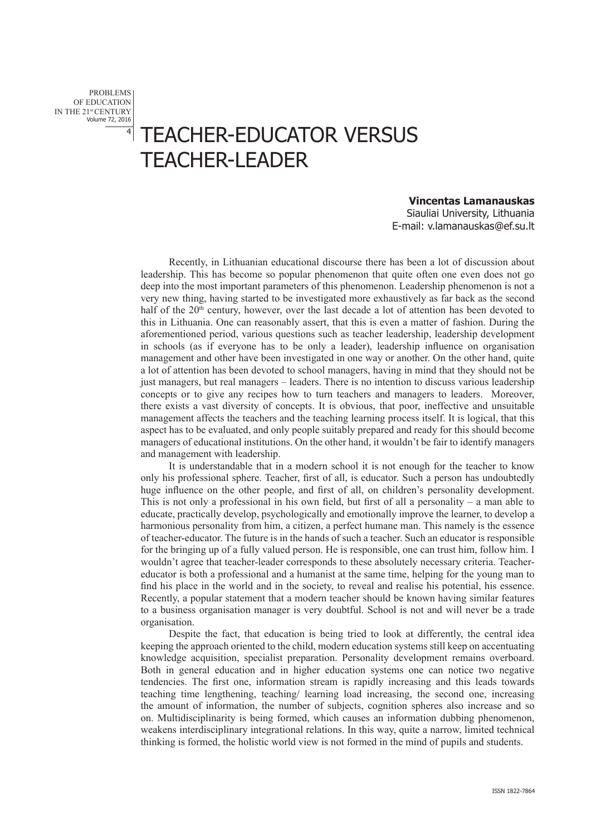PROBLEMS OF EDUCATION IN THE 21st CENTURY Volume 72, 2016

## 4 TEACHER-EDUCATOR VERSUS TEACHER-LEADER

## **Vincentas Lamanauskas**

Siauliai University, Lithuania E-mail: v.lamanauskas@ef.su.lt

Recently, in Lithuanian educational discourse there has been a lot of discussion about leadership. This has become so popular phenomenon that quite often one even does not go deep into the most important parameters of this phenomenon. Leadership phenomenon is not a very new thing, having started to be investigated more exhaustively as far back as the second half of the  $20<sup>th</sup>$  century, however, over the last decade a lot of attention has been devoted to this in Lithuania. One can reasonably assert, that this is even a matter of fashion. During the aforementioned period, various questions such as teacher leadership, leadership development in schools (as if everyone has to be only a leader), leadership influence on organisation management and other have been investigated in one way or another. On the other hand, quite a lot of attention has been devoted to school managers, having in mind that they should not be just managers, but real managers – leaders. There is no intention to discuss various leadership concepts or to give any recipes how to turn teachers and managers to leaders. Moreover, there exists a vast diversity of concepts. It is obvious, that poor, ineffective and unsuitable management affects the teachers and the teaching learning process itself. It is logical, that this aspect has to be evaluated, and only people suitably prepared and ready for this should become managers of educational institutions. On the other hand, it wouldn't be fair to identify managers and management with leadership.

It is understandable that in a modern school it is not enough for the teacher to know only his professional sphere. Teacher, first of all, is educator. Such a person has undoubtedly huge influence on the other people, and first of all, on children's personality development. This is not only a professional in his own field, but first of all a personality – a man able to educate, practically develop, psychologically and emotionally improve the learner, to develop a harmonious personality from him, a citizen, a perfect humane man. This namely is the essence of teacher-educator. The future is in the hands of such a teacher. Such an educator is responsible for the bringing up of a fully valued person. He is responsible, one can trust him, follow him. I wouldn't agree that teacher-leader corresponds to these absolutely necessary criteria. Teachereducator is both a professional and a humanist at the same time, helping for the young man to find his place in the world and in the society, to reveal and realise his potential, his essence. Recently, a popular statement that a modern teacher should be known having similar features to a business organisation manager is very doubtful. School is not and will never be a trade organisation.

Despite the fact, that education is being tried to look at differently, the central idea keeping the approach oriented to the child, modern education systems still keep on accentuating knowledge acquisition, specialist preparation. Personality development remains overboard. Both in general education and in higher education systems one can notice two negative tendencies. The first one, information stream is rapidly increasing and this leads towards teaching time lengthening, teaching/ learning load increasing, the second one, increasing the amount of information, the number of subjects, cognition spheres also increase and so on. Multidisciplinarity is being formed, which causes an information dubbing phenomenon, weakens interdisciplinary integrational relations. In this way, quite a narrow, limited technical thinking is formed, the holistic world view is not formed in the mind of pupils and students.